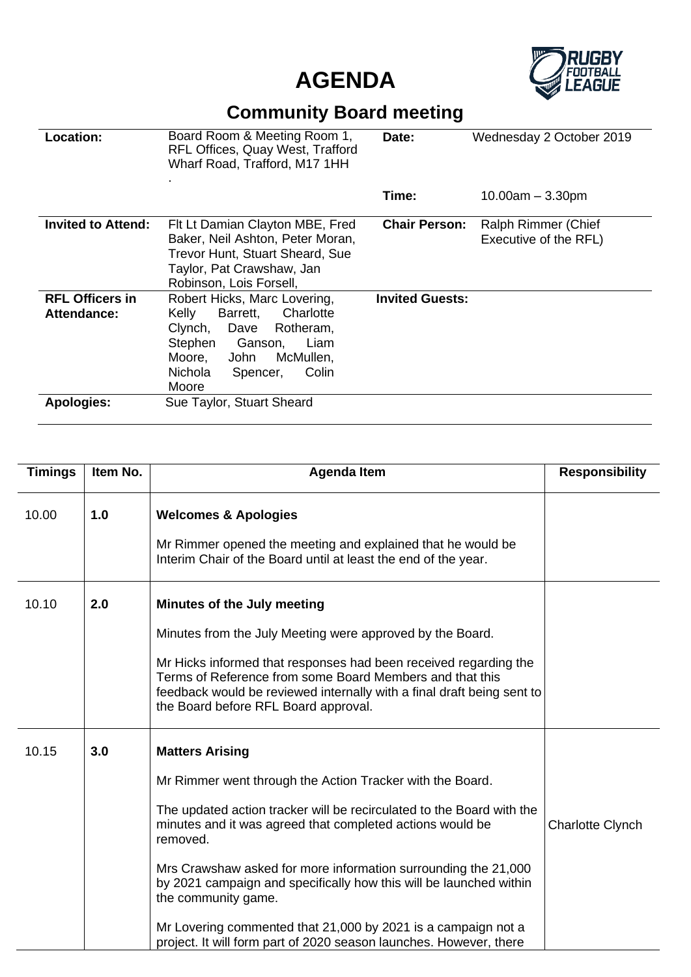



## **Community Board meeting**

| <b>Location:</b>                      | Board Room & Meeting Room 1,<br>RFL Offices, Quay West, Trafford<br>Wharf Road, Trafford, M17 1HH                                                                                              | Date:                  | Wednesday 2 October 2019                     |
|---------------------------------------|------------------------------------------------------------------------------------------------------------------------------------------------------------------------------------------------|------------------------|----------------------------------------------|
|                                       |                                                                                                                                                                                                | Time:                  | $10.00$ am $-3.30$ pm                        |
| <b>Invited to Attend:</b>             | Flt Lt Damian Clayton MBE, Fred<br>Baker, Neil Ashton, Peter Moran,<br>Trevor Hunt, Stuart Sheard, Sue<br>Taylor, Pat Crawshaw, Jan<br>Robinson, Lois Forsell,                                 | <b>Chair Person:</b>   | Ralph Rimmer (Chief<br>Executive of the RFL) |
| <b>RFL Officers in</b><br>Attendance: | Robert Hicks, Marc Lovering,<br>Charlotte<br>Kelly<br>Barrett,<br>Clynch, Dave Rotheram,<br>Stephen<br>Ganson,<br>Liam<br>McMullen,<br>Moore,<br>John<br>Nichola<br>Colin<br>Spencer,<br>Moore | <b>Invited Guests:</b> |                                              |
| <b>Apologies:</b>                     | Sue Taylor, Stuart Sheard                                                                                                                                                                      |                        |                                              |

| <b>Timings</b> | Item No. | <b>Agenda Item</b>                                                                                                                                                                                                                                                                                                                                                                                                                                                                                                                          | <b>Responsibility</b>   |
|----------------|----------|---------------------------------------------------------------------------------------------------------------------------------------------------------------------------------------------------------------------------------------------------------------------------------------------------------------------------------------------------------------------------------------------------------------------------------------------------------------------------------------------------------------------------------------------|-------------------------|
| 10.00          | 1.0      | <b>Welcomes &amp; Apologies</b><br>Mr Rimmer opened the meeting and explained that he would be<br>Interim Chair of the Board until at least the end of the year.                                                                                                                                                                                                                                                                                                                                                                            |                         |
| 10.10          | 2.0      | Minutes of the July meeting<br>Minutes from the July Meeting were approved by the Board.<br>Mr Hicks informed that responses had been received regarding the<br>Terms of Reference from some Board Members and that this<br>feedback would be reviewed internally with a final draft being sent to<br>the Board before RFL Board approval.                                                                                                                                                                                                  |                         |
| 10.15          | 3.0      | <b>Matters Arising</b><br>Mr Rimmer went through the Action Tracker with the Board.<br>The updated action tracker will be recirculated to the Board with the<br>minutes and it was agreed that completed actions would be<br>removed.<br>Mrs Crawshaw asked for more information surrounding the 21,000<br>by 2021 campaign and specifically how this will be launched within<br>the community game.<br>Mr Lovering commented that 21,000 by 2021 is a campaign not a<br>project. It will form part of 2020 season launches. However, there | <b>Charlotte Clynch</b> |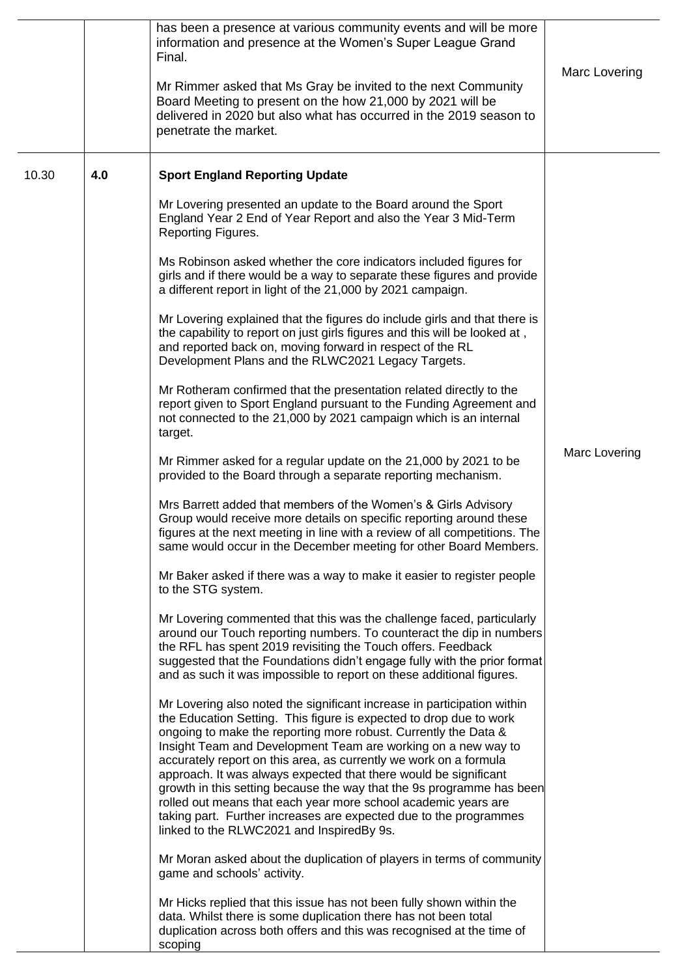|       |     | has been a presence at various community events and will be more<br>information and presence at the Women's Super League Grand<br>Final.<br>Mr Rimmer asked that Ms Gray be invited to the next Community<br>Board Meeting to present on the how 21,000 by 2021 will be<br>delivered in 2020 but also what has occurred in the 2019 season to<br>penetrate the market.                                                                                                                                                                                                                                                                                                                                                                                                                                                                                                                                                                                                                                                                                                                                                                                                                                                                                                                                                                                                                                                                                                                              | Marc Lovering |
|-------|-----|-----------------------------------------------------------------------------------------------------------------------------------------------------------------------------------------------------------------------------------------------------------------------------------------------------------------------------------------------------------------------------------------------------------------------------------------------------------------------------------------------------------------------------------------------------------------------------------------------------------------------------------------------------------------------------------------------------------------------------------------------------------------------------------------------------------------------------------------------------------------------------------------------------------------------------------------------------------------------------------------------------------------------------------------------------------------------------------------------------------------------------------------------------------------------------------------------------------------------------------------------------------------------------------------------------------------------------------------------------------------------------------------------------------------------------------------------------------------------------------------------------|---------------|
| 10.30 | 4.0 | <b>Sport England Reporting Update</b><br>Mr Lovering presented an update to the Board around the Sport<br>England Year 2 End of Year Report and also the Year 3 Mid-Term<br>Reporting Figures.<br>Ms Robinson asked whether the core indicators included figures for<br>girls and if there would be a way to separate these figures and provide<br>a different report in light of the 21,000 by 2021 campaign.<br>Mr Lovering explained that the figures do include girls and that there is<br>the capability to report on just girls figures and this will be looked at,<br>and reported back on, moving forward in respect of the RL<br>Development Plans and the RLWC2021 Legacy Targets.<br>Mr Rotheram confirmed that the presentation related directly to the<br>report given to Sport England pursuant to the Funding Agreement and<br>not connected to the 21,000 by 2021 campaign which is an internal<br>target.<br>Mr Rimmer asked for a regular update on the 21,000 by 2021 to be<br>provided to the Board through a separate reporting mechanism.<br>Mrs Barrett added that members of the Women's & Girls Advisory<br>Group would receive more details on specific reporting around these<br>figures at the next meeting in line with a review of all competitions. The<br>same would occur in the December meeting for other Board Members.                                                                                                                                         | Marc Lovering |
|       |     | Mr Baker asked if there was a way to make it easier to register people<br>to the STG system.<br>Mr Lovering commented that this was the challenge faced, particularly<br>around our Touch reporting numbers. To counteract the dip in numbers<br>the RFL has spent 2019 revisiting the Touch offers. Feedback<br>suggested that the Foundations didn't engage fully with the prior format<br>and as such it was impossible to report on these additional figures.<br>Mr Lovering also noted the significant increase in participation within<br>the Education Setting. This figure is expected to drop due to work<br>ongoing to make the reporting more robust. Currently the Data &<br>Insight Team and Development Team are working on a new way to<br>accurately report on this area, as currently we work on a formula<br>approach. It was always expected that there would be significant<br>growth in this setting because the way that the 9s programme has been<br>rolled out means that each year more school academic years are<br>taking part. Further increases are expected due to the programmes<br>linked to the RLWC2021 and InspiredBy 9s.<br>Mr Moran asked about the duplication of players in terms of community<br>game and schools' activity.<br>Mr Hicks replied that this issue has not been fully shown within the<br>data. Whilst there is some duplication there has not been total<br>duplication across both offers and this was recognised at the time of<br>scoping |               |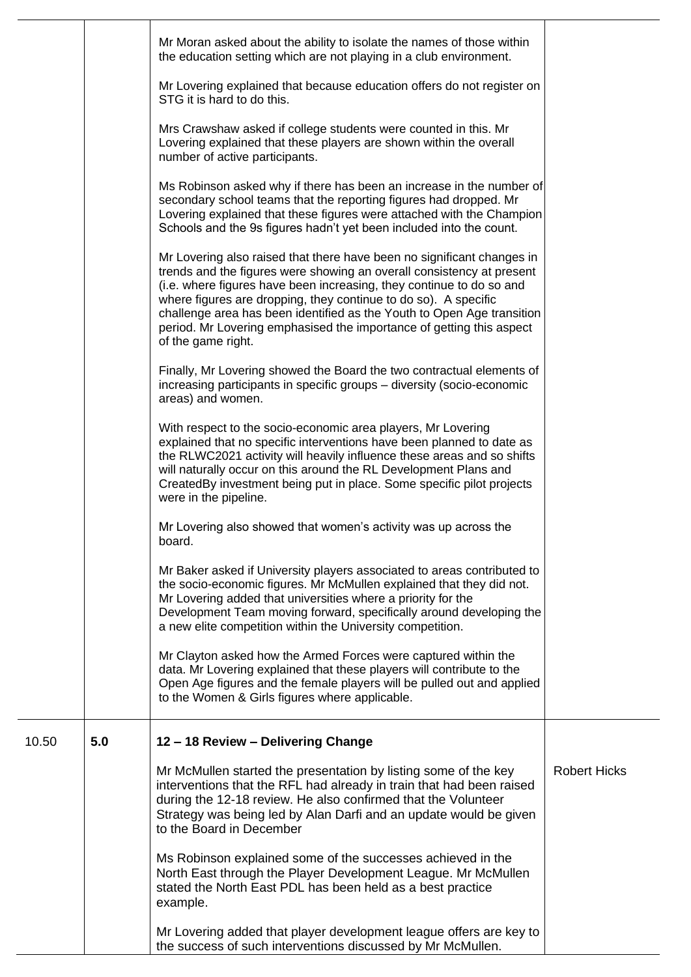|       |     | Mr Moran asked about the ability to isolate the names of those within<br>the education setting which are not playing in a club environment.                                                                                                                                                                                                                                                                                                                        |                     |
|-------|-----|--------------------------------------------------------------------------------------------------------------------------------------------------------------------------------------------------------------------------------------------------------------------------------------------------------------------------------------------------------------------------------------------------------------------------------------------------------------------|---------------------|
|       |     | Mr Lovering explained that because education offers do not register on<br>STG it is hard to do this.                                                                                                                                                                                                                                                                                                                                                               |                     |
|       |     | Mrs Crawshaw asked if college students were counted in this. Mr<br>Lovering explained that these players are shown within the overall<br>number of active participants.                                                                                                                                                                                                                                                                                            |                     |
|       |     | Ms Robinson asked why if there has been an increase in the number of<br>secondary school teams that the reporting figures had dropped. Mr<br>Lovering explained that these figures were attached with the Champion<br>Schools and the 9s figures hadn't yet been included into the count.                                                                                                                                                                          |                     |
|       |     | Mr Lovering also raised that there have been no significant changes in<br>trends and the figures were showing an overall consistency at present<br>(i.e. where figures have been increasing, they continue to do so and<br>where figures are dropping, they continue to do so). A specific<br>challenge area has been identified as the Youth to Open Age transition<br>period. Mr Lovering emphasised the importance of getting this aspect<br>of the game right. |                     |
|       |     | Finally, Mr Lovering showed the Board the two contractual elements of<br>increasing participants in specific groups - diversity (socio-economic<br>areas) and women.                                                                                                                                                                                                                                                                                               |                     |
|       |     | With respect to the socio-economic area players, Mr Lovering<br>explained that no specific interventions have been planned to date as<br>the RLWC2021 activity will heavily influence these areas and so shifts<br>will naturally occur on this around the RL Development Plans and<br>CreatedBy investment being put in place. Some specific pilot projects<br>were in the pipeline.                                                                              |                     |
|       |     | Mr Lovering also showed that women's activity was up across the<br>board.                                                                                                                                                                                                                                                                                                                                                                                          |                     |
|       |     | Mr Baker asked if University players associated to areas contributed to<br>the socio-economic figures. Mr McMullen explained that they did not.<br>Mr Lovering added that universities where a priority for the<br>Development Team moving forward, specifically around developing the<br>a new elite competition within the University competition.                                                                                                               |                     |
|       |     | Mr Clayton asked how the Armed Forces were captured within the<br>data. Mr Lovering explained that these players will contribute to the<br>Open Age figures and the female players will be pulled out and applied<br>to the Women & Girls figures where applicable.                                                                                                                                                                                                |                     |
| 10.50 | 5.0 | 12 - 18 Review - Delivering Change                                                                                                                                                                                                                                                                                                                                                                                                                                 |                     |
|       |     | Mr McMullen started the presentation by listing some of the key<br>interventions that the RFL had already in train that had been raised<br>during the 12-18 review. He also confirmed that the Volunteer<br>Strategy was being led by Alan Darfi and an update would be given<br>to the Board in December                                                                                                                                                          | <b>Robert Hicks</b> |
|       |     | Ms Robinson explained some of the successes achieved in the<br>North East through the Player Development League. Mr McMullen<br>stated the North East PDL has been held as a best practice<br>example.                                                                                                                                                                                                                                                             |                     |
|       |     | Mr Lovering added that player development league offers are key to<br>the success of such interventions discussed by Mr McMullen.                                                                                                                                                                                                                                                                                                                                  |                     |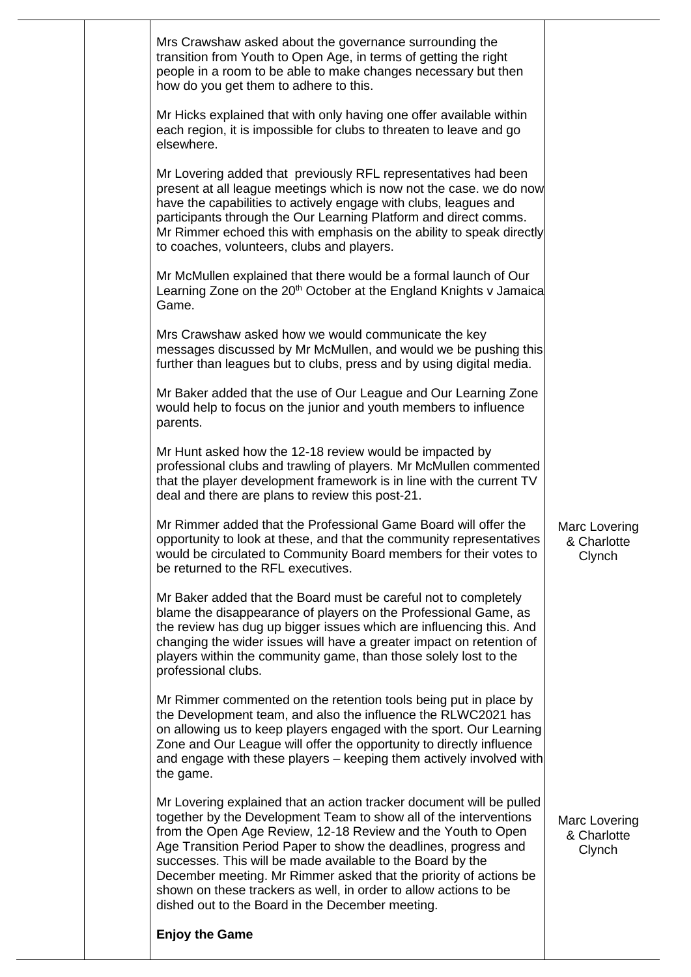|  | Mrs Crawshaw asked about the governance surrounding the<br>transition from Youth to Open Age, in terms of getting the right<br>people in a room to be able to make changes necessary but then<br>how do you get them to adhere to this.<br>Mr Hicks explained that with only having one offer available within                                                                                                                                                                                                                          |                                        |
|--|-----------------------------------------------------------------------------------------------------------------------------------------------------------------------------------------------------------------------------------------------------------------------------------------------------------------------------------------------------------------------------------------------------------------------------------------------------------------------------------------------------------------------------------------|----------------------------------------|
|  | each region, it is impossible for clubs to threaten to leave and go<br>elsewhere.                                                                                                                                                                                                                                                                                                                                                                                                                                                       |                                        |
|  | Mr Lovering added that previously RFL representatives had been<br>present at all league meetings which is now not the case. we do now<br>have the capabilities to actively engage with clubs, leagues and<br>participants through the Our Learning Platform and direct comms.<br>Mr Rimmer echoed this with emphasis on the ability to speak directly<br>to coaches, volunteers, clubs and players.                                                                                                                                     |                                        |
|  | Mr McMullen explained that there would be a formal launch of Our<br>Learning Zone on the 20 <sup>th</sup> October at the England Knights v Jamaica<br>Game.                                                                                                                                                                                                                                                                                                                                                                             |                                        |
|  | Mrs Crawshaw asked how we would communicate the key<br>messages discussed by Mr McMullen, and would we be pushing this<br>further than leagues but to clubs, press and by using digital media.                                                                                                                                                                                                                                                                                                                                          |                                        |
|  | Mr Baker added that the use of Our League and Our Learning Zone<br>would help to focus on the junior and youth members to influence<br>parents.                                                                                                                                                                                                                                                                                                                                                                                         |                                        |
|  | Mr Hunt asked how the 12-18 review would be impacted by<br>professional clubs and trawling of players. Mr McMullen commented<br>that the player development framework is in line with the current TV<br>deal and there are plans to review this post-21.                                                                                                                                                                                                                                                                                |                                        |
|  | Mr Rimmer added that the Professional Game Board will offer the<br>opportunity to look at these, and that the community representatives<br>would be circulated to Community Board members for their votes to<br>be returned to the RFL executives.                                                                                                                                                                                                                                                                                      | Marc Lovering<br>& Charlotte<br>Clynch |
|  | Mr Baker added that the Board must be careful not to completely<br>blame the disappearance of players on the Professional Game, as<br>the review has dug up bigger issues which are influencing this. And<br>changing the wider issues will have a greater impact on retention of<br>players within the community game, than those solely lost to the<br>professional clubs.                                                                                                                                                            |                                        |
|  | Mr Rimmer commented on the retention tools being put in place by<br>the Development team, and also the influence the RLWC2021 has<br>on allowing us to keep players engaged with the sport. Our Learning<br>Zone and Our League will offer the opportunity to directly influence<br>and engage with these players - keeping them actively involved with<br>the game.                                                                                                                                                                    |                                        |
|  | Mr Lovering explained that an action tracker document will be pulled<br>together by the Development Team to show all of the interventions<br>from the Open Age Review, 12-18 Review and the Youth to Open<br>Age Transition Period Paper to show the deadlines, progress and<br>successes. This will be made available to the Board by the<br>December meeting. Mr Rimmer asked that the priority of actions be<br>shown on these trackers as well, in order to allow actions to be<br>dished out to the Board in the December meeting. | Marc Lovering<br>& Charlotte<br>Clynch |
|  | <b>Enjoy the Game</b>                                                                                                                                                                                                                                                                                                                                                                                                                                                                                                                   |                                        |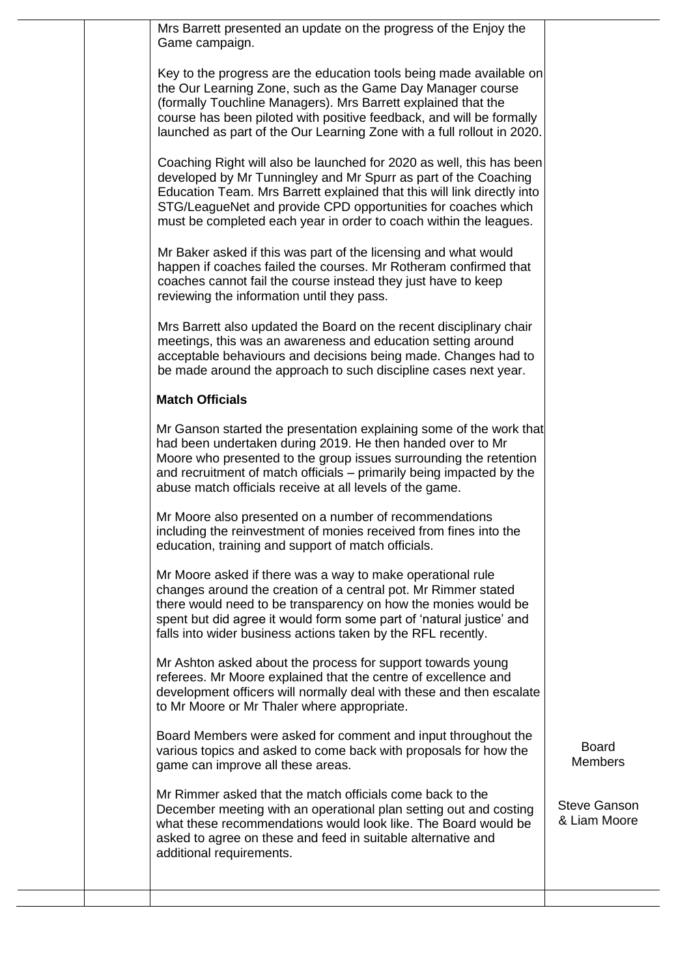| Mrs Barrett presented an update on the progress of the Enjoy the<br>Game campaign.                                                                                                                                                                                                                                                                       |                                     |
|----------------------------------------------------------------------------------------------------------------------------------------------------------------------------------------------------------------------------------------------------------------------------------------------------------------------------------------------------------|-------------------------------------|
| Key to the progress are the education tools being made available on<br>the Our Learning Zone, such as the Game Day Manager course<br>(formally Touchline Managers). Mrs Barrett explained that the<br>course has been piloted with positive feedback, and will be formally<br>launched as part of the Our Learning Zone with a full rollout in 2020.     |                                     |
| Coaching Right will also be launched for 2020 as well, this has been<br>developed by Mr Tunningley and Mr Spurr as part of the Coaching<br>Education Team. Mrs Barrett explained that this will link directly into<br>STG/LeagueNet and provide CPD opportunities for coaches which<br>must be completed each year in order to coach within the leagues. |                                     |
| Mr Baker asked if this was part of the licensing and what would<br>happen if coaches failed the courses. Mr Rotheram confirmed that<br>coaches cannot fail the course instead they just have to keep<br>reviewing the information until they pass.                                                                                                       |                                     |
| Mrs Barrett also updated the Board on the recent disciplinary chair<br>meetings, this was an awareness and education setting around<br>acceptable behaviours and decisions being made. Changes had to<br>be made around the approach to such discipline cases next year.                                                                                 |                                     |
| <b>Match Officials</b>                                                                                                                                                                                                                                                                                                                                   |                                     |
| Mr Ganson started the presentation explaining some of the work that<br>had been undertaken during 2019. He then handed over to Mr<br>Moore who presented to the group issues surrounding the retention<br>and recruitment of match officials – primarily being impacted by the<br>abuse match officials receive at all levels of the game.               |                                     |
| Mr Moore also presented on a number of recommendations<br>including the reinvestment of monies received from fines into the<br>education, training and support of match officials.                                                                                                                                                                       |                                     |
| Mr Moore asked if there was a way to make operational rule<br>changes around the creation of a central pot. Mr Rimmer stated<br>there would need to be transparency on how the monies would be<br>spent but did agree it would form some part of 'natural justice' and<br>falls into wider business actions taken by the RFL recently.                   |                                     |
| Mr Ashton asked about the process for support towards young<br>referees. Mr Moore explained that the centre of excellence and<br>development officers will normally deal with these and then escalate<br>to Mr Moore or Mr Thaler where appropriate.                                                                                                     |                                     |
| Board Members were asked for comment and input throughout the<br>various topics and asked to come back with proposals for how the<br>game can improve all these areas.                                                                                                                                                                                   | <b>Board</b><br><b>Members</b>      |
| Mr Rimmer asked that the match officials come back to the<br>December meeting with an operational plan setting out and costing<br>what these recommendations would look like. The Board would be<br>asked to agree on these and feed in suitable alternative and<br>additional requirements.                                                             | <b>Steve Ganson</b><br>& Liam Moore |
|                                                                                                                                                                                                                                                                                                                                                          |                                     |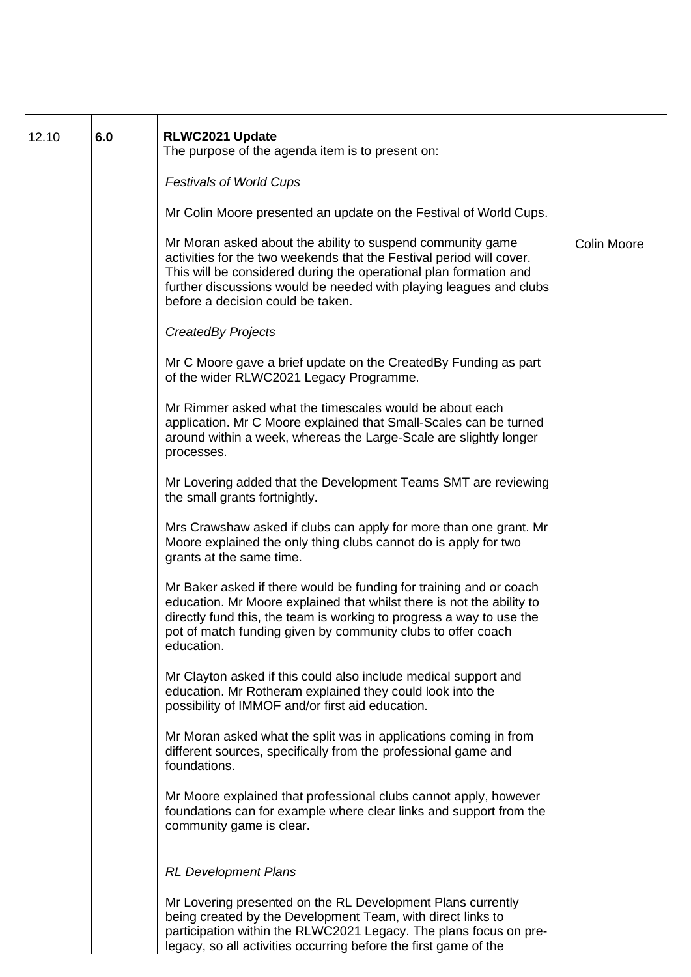| 12.10 | 6.0 | RLWC2021 Update<br>The purpose of the agenda item is to present on:                                                                                                                                                                                                                                                |                    |
|-------|-----|--------------------------------------------------------------------------------------------------------------------------------------------------------------------------------------------------------------------------------------------------------------------------------------------------------------------|--------------------|
|       |     | <b>Festivals of World Cups</b>                                                                                                                                                                                                                                                                                     |                    |
|       |     | Mr Colin Moore presented an update on the Festival of World Cups.                                                                                                                                                                                                                                                  |                    |
|       |     | Mr Moran asked about the ability to suspend community game<br>activities for the two weekends that the Festival period will cover.<br>This will be considered during the operational plan formation and<br>further discussions would be needed with playing leagues and clubs<br>before a decision could be taken. | <b>Colin Moore</b> |
|       |     | <b>CreatedBy Projects</b>                                                                                                                                                                                                                                                                                          |                    |
|       |     | Mr C Moore gave a brief update on the CreatedBy Funding as part<br>of the wider RLWC2021 Legacy Programme.                                                                                                                                                                                                         |                    |
|       |     | Mr Rimmer asked what the timescales would be about each<br>application. Mr C Moore explained that Small-Scales can be turned<br>around within a week, whereas the Large-Scale are slightly longer<br>processes.                                                                                                    |                    |
|       |     | Mr Lovering added that the Development Teams SMT are reviewing<br>the small grants fortnightly.                                                                                                                                                                                                                    |                    |
|       |     | Mrs Crawshaw asked if clubs can apply for more than one grant. Mr<br>Moore explained the only thing clubs cannot do is apply for two<br>grants at the same time.                                                                                                                                                   |                    |
|       |     | Mr Baker asked if there would be funding for training and or coach<br>education. Mr Moore explained that whilst there is not the ability to<br>directly fund this, the team is working to progress a way to use the<br>pot of match funding given by community clubs to offer coach<br>education.                  |                    |
|       |     | Mr Clayton asked if this could also include medical support and<br>education. Mr Rotheram explained they could look into the<br>possibility of IMMOF and/or first aid education.                                                                                                                                   |                    |
|       |     | Mr Moran asked what the split was in applications coming in from<br>different sources, specifically from the professional game and<br>foundations.                                                                                                                                                                 |                    |
|       |     | Mr Moore explained that professional clubs cannot apply, however<br>foundations can for example where clear links and support from the<br>community game is clear.                                                                                                                                                 |                    |
|       |     | <b>RL Development Plans</b>                                                                                                                                                                                                                                                                                        |                    |
|       |     | Mr Lovering presented on the RL Development Plans currently<br>being created by the Development Team, with direct links to<br>participation within the RLWC2021 Legacy. The plans focus on pre-<br>legacy, so all activities occurring before the first game of the                                                |                    |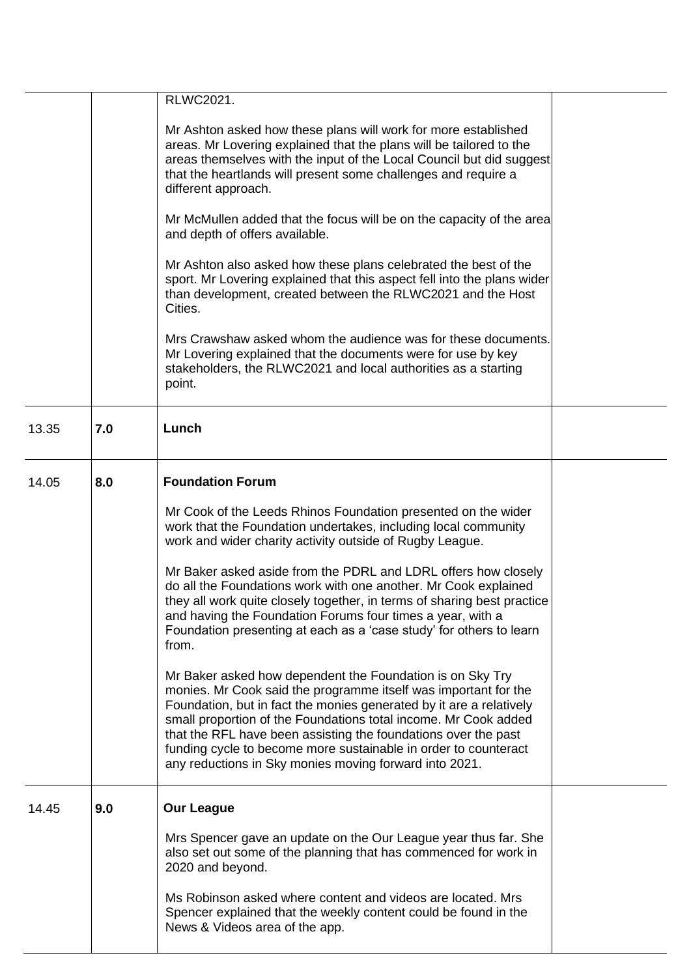|       |     | RLWC2021.                                                                                                                                                                                                                                                                                                                                                                                                                                                             |  |
|-------|-----|-----------------------------------------------------------------------------------------------------------------------------------------------------------------------------------------------------------------------------------------------------------------------------------------------------------------------------------------------------------------------------------------------------------------------------------------------------------------------|--|
|       |     | Mr Ashton asked how these plans will work for more established<br>areas. Mr Lovering explained that the plans will be tailored to the<br>areas themselves with the input of the Local Council but did suggest<br>that the heartlands will present some challenges and require a<br>different approach.                                                                                                                                                                |  |
|       |     | Mr McMullen added that the focus will be on the capacity of the area<br>and depth of offers available.                                                                                                                                                                                                                                                                                                                                                                |  |
|       |     | Mr Ashton also asked how these plans celebrated the best of the<br>sport. Mr Lovering explained that this aspect fell into the plans wider<br>than development, created between the RLWC2021 and the Host<br>Cities.                                                                                                                                                                                                                                                  |  |
|       |     | Mrs Crawshaw asked whom the audience was for these documents.<br>Mr Lovering explained that the documents were for use by key<br>stakeholders, the RLWC2021 and local authorities as a starting<br>point.                                                                                                                                                                                                                                                             |  |
| 13.35 | 7.0 | Lunch                                                                                                                                                                                                                                                                                                                                                                                                                                                                 |  |
| 14.05 | 8.0 | <b>Foundation Forum</b>                                                                                                                                                                                                                                                                                                                                                                                                                                               |  |
|       |     | Mr Cook of the Leeds Rhinos Foundation presented on the wider<br>work that the Foundation undertakes, including local community<br>work and wider charity activity outside of Rugby League.                                                                                                                                                                                                                                                                           |  |
|       |     | Mr Baker asked aside from the PDRL and LDRL offers how closely<br>do all the Foundations work with one another. Mr Cook explained<br>they all work quite closely together, in terms of sharing best practice<br>and having the Foundation Forums four times a year, with a<br>Foundation presenting at each as a 'case study' for others to learn<br>from.                                                                                                            |  |
|       |     | Mr Baker asked how dependent the Foundation is on Sky Try<br>monies. Mr Cook said the programme itself was important for the<br>Foundation, but in fact the monies generated by it are a relatively<br>small proportion of the Foundations total income. Mr Cook added<br>that the RFL have been assisting the foundations over the past<br>funding cycle to become more sustainable in order to counteract<br>any reductions in Sky monies moving forward into 2021. |  |
| 14.45 | 9.0 | <b>Our League</b>                                                                                                                                                                                                                                                                                                                                                                                                                                                     |  |
|       |     | Mrs Spencer gave an update on the Our League year thus far. She<br>also set out some of the planning that has commenced for work in<br>2020 and beyond.                                                                                                                                                                                                                                                                                                               |  |
|       |     | Ms Robinson asked where content and videos are located. Mrs<br>Spencer explained that the weekly content could be found in the<br>News & Videos area of the app.                                                                                                                                                                                                                                                                                                      |  |
|       |     |                                                                                                                                                                                                                                                                                                                                                                                                                                                                       |  |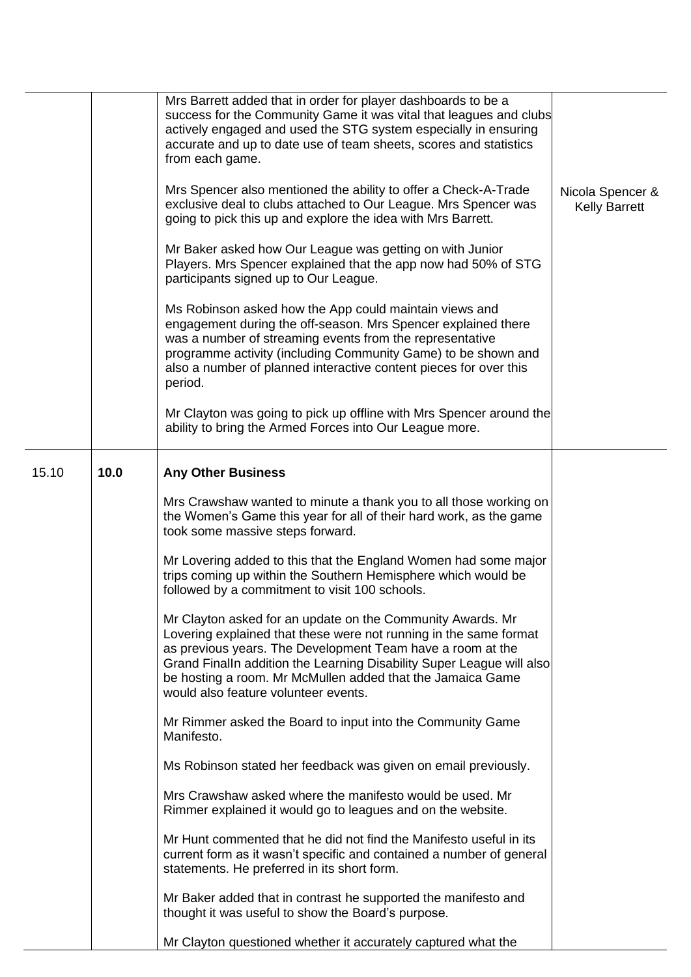|       |      | Mrs Barrett added that in order for player dashboards to be a<br>success for the Community Game it was vital that leagues and clubs<br>actively engaged and used the STG system especially in ensuring<br>accurate and up to date use of team sheets, scores and statistics<br>from each game.                                                                               |                                          |
|-------|------|------------------------------------------------------------------------------------------------------------------------------------------------------------------------------------------------------------------------------------------------------------------------------------------------------------------------------------------------------------------------------|------------------------------------------|
|       |      | Mrs Spencer also mentioned the ability to offer a Check-A-Trade<br>exclusive deal to clubs attached to Our League. Mrs Spencer was<br>going to pick this up and explore the idea with Mrs Barrett.                                                                                                                                                                           | Nicola Spencer &<br><b>Kelly Barrett</b> |
|       |      | Mr Baker asked how Our League was getting on with Junior<br>Players. Mrs Spencer explained that the app now had 50% of STG<br>participants signed up to Our League.                                                                                                                                                                                                          |                                          |
|       |      | Ms Robinson asked how the App could maintain views and<br>engagement during the off-season. Mrs Spencer explained there<br>was a number of streaming events from the representative<br>programme activity (including Community Game) to be shown and<br>also a number of planned interactive content pieces for over this<br>period.                                         |                                          |
|       |      | Mr Clayton was going to pick up offline with Mrs Spencer around the<br>ability to bring the Armed Forces into Our League more.                                                                                                                                                                                                                                               |                                          |
| 15.10 | 10.0 | <b>Any Other Business</b>                                                                                                                                                                                                                                                                                                                                                    |                                          |
|       |      | Mrs Crawshaw wanted to minute a thank you to all those working on<br>the Women's Game this year for all of their hard work, as the game<br>took some massive steps forward.                                                                                                                                                                                                  |                                          |
|       |      | Mr Lovering added to this that the England Women had some major<br>trips coming up within the Southern Hemisphere which would be<br>followed by a commitment to visit 100 schools.                                                                                                                                                                                           |                                          |
|       |      | Mr Clayton asked for an update on the Community Awards. Mr<br>Lovering explained that these were not running in the same format<br>as previous years. The Development Team have a room at the<br>Grand FinalIn addition the Learning Disability Super League will also<br>be hosting a room. Mr McMullen added that the Jamaica Game<br>would also feature volunteer events. |                                          |
|       |      | Mr Rimmer asked the Board to input into the Community Game<br>Manifesto.                                                                                                                                                                                                                                                                                                     |                                          |
|       |      | Ms Robinson stated her feedback was given on email previously.                                                                                                                                                                                                                                                                                                               |                                          |
|       |      | Mrs Crawshaw asked where the manifesto would be used. Mr<br>Rimmer explained it would go to leagues and on the website.                                                                                                                                                                                                                                                      |                                          |
|       |      | Mr Hunt commented that he did not find the Manifesto useful in its<br>current form as it wasn't specific and contained a number of general<br>statements. He preferred in its short form.                                                                                                                                                                                    |                                          |
|       |      | Mr Baker added that in contrast he supported the manifesto and<br>thought it was useful to show the Board's purpose.                                                                                                                                                                                                                                                         |                                          |
|       |      | Mr Clayton questioned whether it accurately captured what the                                                                                                                                                                                                                                                                                                                |                                          |